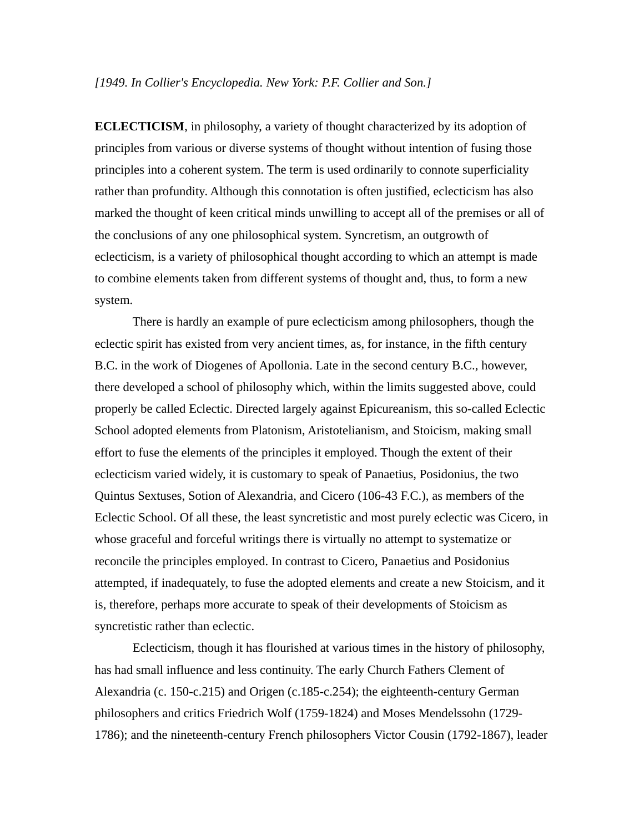## *[1949. In Collier's Encyclopedia. New York: P.F. Collier and Son.]*

**ECLECTICISM**, in philosophy, a variety of thought characterized by its adoption of principles from various or diverse systems of thought without intention of fusing those principles into a coherent system. The term is used ordinarily to connote superficiality rather than profundity. Although this connotation is often justified, eclecticism has also marked the thought of keen critical minds unwilling to accept all of the premises or all of the conclusions of any one philosophical system. Syncretism, an outgrowth of eclecticism, is a variety of philosophical thought according to which an attempt is made to combine elements taken from different systems of thought and, thus, to form a new system.

There is hardly an example of pure eclecticism among philosophers, though the eclectic spirit has existed from very ancient times, as, for instance, in the fifth century B.C. in the work of Diogenes of Apollonia. Late in the second century B.C., however, there developed a school of philosophy which, within the limits suggested above, could properly be called Eclectic. Directed largely against Epicureanism, this so-called Eclectic School adopted elements from Platonism, Aristotelianism, and Stoicism, making small effort to fuse the elements of the principles it employed. Though the extent of their eclecticism varied widely, it is customary to speak of Panaetius, Posidonius, the two Quintus Sextuses, Sotion of Alexandria, and Cicero (106-43 F.C.), as members of the Eclectic School. Of all these, the least syncretistic and most purely eclectic was Cicero, in whose graceful and forceful writings there is virtually no attempt to systematize or reconcile the principles employed. In contrast to Cicero, Panaetius and Posidonius attempted, if inadequately, to fuse the adopted elements and create a new Stoicism, and it is, therefore, perhaps more accurate to speak of their developments of Stoicism as syncretistic rather than eclectic.

Eclecticism, though it has flourished at various times in the history of philosophy, has had small influence and less continuity. The early Church Fathers Clement of Alexandria (c. 150-c.215) and Origen (c.185-c.254); the eighteenth-century German philosophers and critics Friedrich Wolf (1759-1824) and Moses Mendelssohn (1729- 1786); and the nineteenth-century French philosophers Victor Cousin (1792-1867), leader